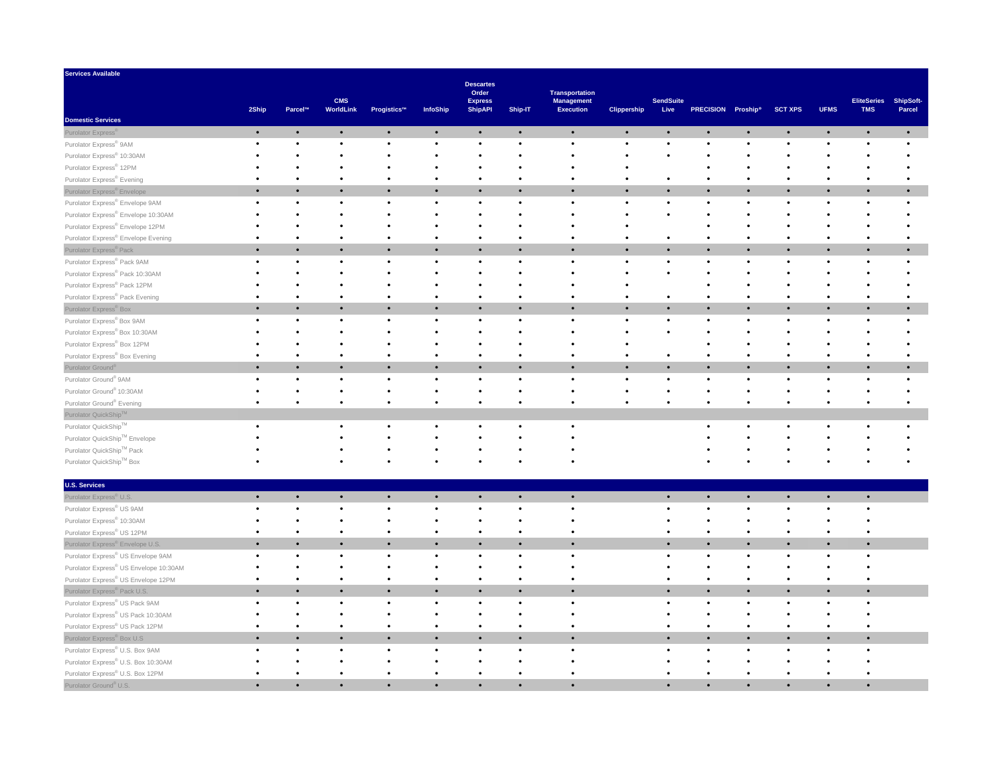| <b>Services Available</b>                                   |           |                |                         |             |           |                                                               |           |                                                                |                    |                          |                    |           |                |             |                                  |                            |
|-------------------------------------------------------------|-----------|----------------|-------------------------|-------------|-----------|---------------------------------------------------------------|-----------|----------------------------------------------------------------|--------------------|--------------------------|--------------------|-----------|----------------|-------------|----------------------------------|----------------------------|
|                                                             | 2Ship     | <b>Parcel™</b> | <b>CMS</b><br>WorldLink | Progistics™ | InfoShip  | <b>Descartes</b><br>Order<br><b>Express</b><br><b>ShipAPI</b> | Ship-IT   | <b>Transportation</b><br><b>Management</b><br><b>Execution</b> | <b>Clippership</b> | <b>SendSuite</b><br>Live | PRECISION Proship® |           | <b>SCT XPS</b> | <b>UFMS</b> | <b>EliteSeries</b><br><b>TMS</b> | <b>ShipSoft-</b><br>Parcel |
| <b>Domestic Services</b>                                    |           |                |                         |             |           |                                                               |           |                                                                |                    |                          |                    |           |                |             |                                  |                            |
| Purolator Express®                                          | $\bullet$ | $\bullet$      | $\bullet$               | $\bullet$   | $\bullet$ | $\bullet$                                                     | $\bullet$ | $\bullet$                                                      | $\bullet$          | $\bullet$                | $\bullet$          | $\bullet$ | $\bullet$      | $\bullet$   | $\bullet$                        |                            |
| Purolator Express® 9AM                                      |           |                |                         |             |           |                                                               |           |                                                                |                    | $\bullet$                |                    |           |                |             |                                  |                            |
| Purolator Express® 10:30AM                                  |           |                |                         |             |           |                                                               |           |                                                                |                    |                          |                    |           |                |             |                                  |                            |
| Purolator Express® 12PM                                     |           |                |                         |             |           |                                                               |           |                                                                |                    |                          |                    |           |                |             |                                  |                            |
| Purolator Express® Evening                                  |           |                |                         |             |           |                                                               |           |                                                                |                    | $\bullet$                |                    |           |                |             |                                  |                            |
| Purolator Express® Envelope                                 | $\bullet$ |                | $\bullet$               |             | $\bullet$ | $\bullet$                                                     | $\bullet$ | $\bullet$                                                      | $\bullet$          | $\bullet$                | $\bullet$          |           | $\bullet$      |             | $\bullet$                        |                            |
| Purolator Express® Envelope 9AM                             |           |                |                         |             |           |                                                               |           |                                                                |                    | $\bullet$                |                    |           |                |             |                                  |                            |
| Purolator Express® Envelope 10:30AM                         |           |                |                         |             |           |                                                               |           |                                                                |                    |                          |                    |           |                |             |                                  |                            |
| Purolator Express® Envelope 12PM                            |           |                |                         |             |           |                                                               |           |                                                                |                    |                          |                    |           |                |             |                                  |                            |
| Purolator Express® Envelope Evening                         |           |                |                         |             |           |                                                               |           |                                                                |                    |                          |                    |           |                |             |                                  |                            |
| Purolator Express <sup>®</sup> Pack                         | $\bullet$ |                | $\bullet$               |             | $\bullet$ | $\bullet$                                                     | $\bullet$ | $\bullet$                                                      |                    | $\bullet$                |                    |           |                |             |                                  |                            |
| Purolator Express® Pack 9AM                                 |           |                |                         |             |           |                                                               |           |                                                                |                    |                          |                    |           |                |             |                                  |                            |
| Purolator Express® Pack 10:30AM                             |           |                |                         |             |           |                                                               |           |                                                                |                    |                          |                    |           |                |             |                                  |                            |
| Purolator Express® Pack 12PM                                |           |                |                         |             |           |                                                               |           |                                                                |                    |                          |                    |           |                |             |                                  |                            |
| Purolator Express® Pack Evening                             |           |                |                         |             |           |                                                               |           |                                                                |                    | $\bullet$                |                    |           |                |             |                                  |                            |
| Purolator Express® Box                                      | $\bullet$ | $\bullet$      | $\bullet$               |             | $\bullet$ | $\bullet$                                                     | $\bullet$ | $\bullet$                                                      |                    | $\bullet$                |                    |           |                |             |                                  |                            |
| Purolator Express® Box 9AM                                  |           |                |                         |             |           | $\bullet$                                                     | $\bullet$ |                                                                |                    | $\bullet$                |                    |           |                |             |                                  |                            |
| Purolator Express® Box 10:30AM                              |           |                |                         |             |           |                                                               |           |                                                                |                    |                          |                    |           |                |             |                                  |                            |
| Purolator Express® Box 12PM                                 |           |                |                         |             |           |                                                               |           |                                                                |                    |                          |                    |           |                |             |                                  |                            |
| Purolator Express® Box Evening                              |           |                |                         |             |           |                                                               |           |                                                                |                    |                          |                    |           |                |             |                                  |                            |
| Purolator Ground®                                           | $\bullet$ | $\bullet$      | $\bullet$               | $\bullet$   | $\bullet$ | $\bullet$                                                     | $\bullet$ | $\bullet$                                                      | $\bullet$          | $\bullet$                | $\bullet$          | $\bullet$ | $\bullet$      |             |                                  |                            |
| Purolator Ground® 9AM                                       |           |                |                         |             |           |                                                               |           |                                                                |                    |                          |                    |           |                |             |                                  |                            |
| Purolator Ground® 10:30AM                                   |           |                |                         |             |           |                                                               |           |                                                                |                    |                          |                    |           |                |             |                                  |                            |
| Purolator Ground® Evening                                   |           |                |                         |             |           |                                                               |           |                                                                |                    |                          |                    |           |                |             |                                  |                            |
| Purolator QuickShip™                                        |           |                |                         |             |           |                                                               |           |                                                                |                    |                          |                    |           |                |             |                                  |                            |
| Purolator QuickShip™                                        |           |                |                         |             |           |                                                               |           |                                                                |                    |                          |                    |           |                |             |                                  |                            |
| Purolator QuickShip™ Envelope                               |           |                |                         |             |           |                                                               |           |                                                                |                    |                          |                    |           |                |             |                                  |                            |
| Purolator QuickShip™ Pack                                   |           |                |                         |             |           |                                                               |           |                                                                |                    |                          |                    |           |                |             |                                  |                            |
| $\mathsf{P}$ urolator QuickShip $\mathsf{T}^\mathsf{M}$ Box |           |                |                         |             |           |                                                               |           |                                                                |                    |                          |                    |           |                |             |                                  |                            |
| <b>U.S. Services</b>                                        |           |                |                         |             |           |                                                               |           |                                                                |                    |                          |                    |           |                |             |                                  |                            |
| Purolator Express <sup>®</sup> U.S.                         |           | $\bullet$      | $\bullet$               | $\bullet$   | $\bullet$ | $\bullet$                                                     | $\bullet$ | $\bullet$                                                      |                    | $\bullet$                | $\bullet$          | $\bullet$ | $\bullet$      | $\bullet$   | $\bullet$                        |                            |
| Purolator Express® US 9AM                                   |           |                |                         |             |           |                                                               |           |                                                                |                    |                          |                    |           |                |             |                                  |                            |
| Purolator Express® 10:30AM                                  |           |                |                         |             |           |                                                               |           |                                                                |                    |                          |                    |           |                |             |                                  |                            |
| Purolator Express® US 12PM                                  |           |                |                         |             |           |                                                               |           |                                                                |                    |                          |                    |           |                |             |                                  |                            |
| Purolator Express® Envelope U.S.                            |           |                | $\bullet$               |             | $\bullet$ | $\bullet$                                                     | $\bullet$ |                                                                |                    | $\bullet$                |                    |           |                |             |                                  |                            |
| Purolator Express® US Envelope 9AM                          |           |                |                         |             |           |                                                               |           |                                                                |                    |                          |                    |           |                |             |                                  |                            |
| Purolator Express® US Envelope 10:30AM                      |           |                |                         |             |           |                                                               |           |                                                                |                    |                          |                    |           |                |             |                                  |                            |
| Purolator Express® US Envelope 12PM                         |           |                |                         |             |           |                                                               |           |                                                                |                    |                          |                    |           |                |             |                                  |                            |
| Purolator Express <sup>®</sup> Pack U.S.                    |           | $\bullet$      | $\bullet$               |             | $\bullet$ | $\bullet$                                                     | $\bullet$ |                                                                |                    | $\bullet$                |                    |           |                |             |                                  |                            |
| Purolator Express® US Pack 9AM                              |           |                |                         |             |           |                                                               |           |                                                                |                    |                          |                    |           |                |             |                                  |                            |
| Purolator Express® US Pack 10:30AM                          |           |                |                         |             |           |                                                               |           |                                                                |                    |                          |                    |           |                |             |                                  |                            |
| Purolator Express® US Pack 12PM                             |           |                |                         |             |           |                                                               |           |                                                                |                    |                          |                    |           |                |             |                                  |                            |
| Purolator Express <sup>®</sup> Box U.S                      |           | $\bullet$      | $\bullet$               |             | $\bullet$ | $\bullet$                                                     | $\bullet$ |                                                                |                    | $\bullet$                |                    |           |                |             |                                  |                            |
| Purolator Express® U.S. Box 9AM                             |           |                |                         |             |           |                                                               |           |                                                                |                    |                          |                    |           |                |             |                                  |                            |
| Purolator Express® U.S. Box 10:30AM                         |           |                |                         |             |           |                                                               |           |                                                                |                    |                          |                    |           |                |             |                                  |                            |
| Purolator Express® U.S. Box 12PM                            |           |                |                         |             |           |                                                               |           |                                                                |                    |                          |                    |           |                |             |                                  |                            |
| Purolator Ground <sup>®</sup> U.S.                          |           |                |                         |             |           |                                                               |           |                                                                |                    | $\bullet$                |                    |           |                |             |                                  |                            |
|                                                             |           |                |                         |             |           |                                                               |           |                                                                |                    |                          |                    |           |                |             |                                  |                            |

| <b>U.S. Services</b>                         |  |  |  |  |  |
|----------------------------------------------|--|--|--|--|--|
| Purolator Express <sup>®</sup> U.S.          |  |  |  |  |  |
| Purolator Express® US 9AM                    |  |  |  |  |  |
| Purolator Express® 10:30AM                   |  |  |  |  |  |
| Purolator Express <sup>®</sup> US 12PM       |  |  |  |  |  |
| Purolator Express <sup>®</sup> Envelope U.S. |  |  |  |  |  |
| Purolator Express® US Envelope 9AM           |  |  |  |  |  |
| Purolator Express® US Envelope 10:30AM       |  |  |  |  |  |
| Purolator Express® US Envelope 12PM          |  |  |  |  |  |
| Purolator Express® Pack U.S.                 |  |  |  |  |  |
| Purolator Express® US Pack 9AM               |  |  |  |  |  |
| Purolator Express® US Pack 10:30AM           |  |  |  |  |  |
| Purolator Express® US Pack 12PM              |  |  |  |  |  |
| Purolator Express <sup>®</sup> Box U.S       |  |  |  |  |  |
| Purolator Express® U.S. Box 9AM              |  |  |  |  |  |
| Purolator Express® U.S. Box 10:30AM          |  |  |  |  |  |
| Purolator Express® U.S. Box 12PM             |  |  |  |  |  |
| Purolator Ground <sup>®</sup> U.S.           |  |  |  |  |  |